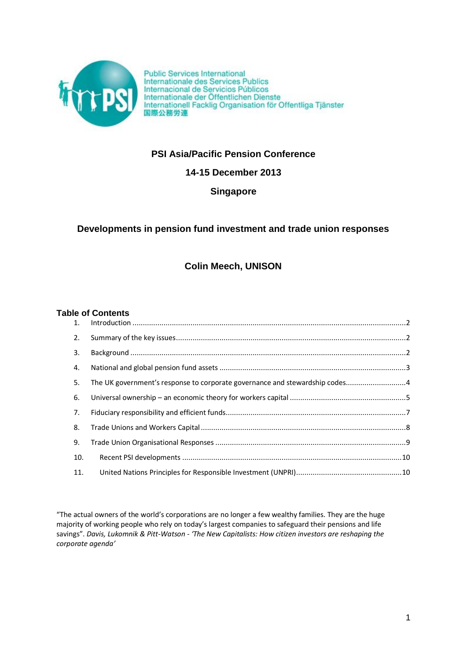

Public Services International<br>Internationale des Services Publics<br>Internacional de Servicios Públicos<br>Internationale der Öffentlichen Dienste<br>Internationale Facklig Organisation för Offentliga Tjänster 国際公務労連

# **PSI Asia/Pacific Pension Conference**

**14-15 December 2013**

**Singapore**

# **Developments in pension fund investment and trade union responses**

# **Colin Meech, UNISON**

# **Table of Contents**

| 2.  |                                                                             |  |
|-----|-----------------------------------------------------------------------------|--|
| 3.  |                                                                             |  |
| 4.  |                                                                             |  |
| 5.  | The UK government's response to corporate governance and stewardship codes4 |  |
| 6.  |                                                                             |  |
| 7.  |                                                                             |  |
| 8.  |                                                                             |  |
| 9.  |                                                                             |  |
| 10. |                                                                             |  |
| 11. |                                                                             |  |

"The actual owners of the world's corporations are no longer a few wealthy families. They are the huge majority of working people who rely on today's largest companies to safeguard their pensions and life savings". *Davis, Lukomnik & Pitt-Watson - 'The New Capitalists: How citizen investors are reshaping the corporate agenda'*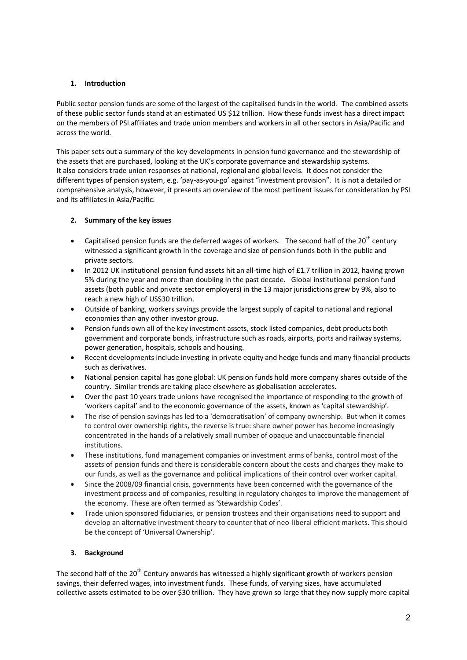# <span id="page-1-0"></span>**1. Introduction**

Public sector pension funds are some of the largest of the capitalised funds in the world. The combined assets of these public sector funds stand at an estimated US \$12 trillion. How these funds invest has a direct impact on the members of PSI affiliates and trade union members and workers in all other sectors in Asia/Pacific and across the world.

This paper sets out a summary of the key developments in pension fund governance and the stewardship of the assets that are purchased, looking at the UK's corporate governance and stewardship systems. It also considers trade union responses at national, regional and global levels. It does not consider the different types of pension system, e.g. 'pay-as-you-go' against "investment provision". It is not a detailed or comprehensive analysis, however, it presents an overview of the most pertinent issues for consideration by PSI and its affiliates in Asia/Pacific.

# <span id="page-1-1"></span>**2. Summary of the key issues**

- Capitalised pension funds are the deferred wages of workers. The second half of the  $20^{th}$  century witnessed a significant growth in the coverage and size of pension funds both in the public and private sectors.
- In 2012 UK institutional pension fund assets hit an all-time high of £1.7 trillion in 2012, having grown 5% during the year and more than doubling in the past decade. Global institutional pension fund assets (both public and private sector employers) in the 13 major jurisdictions grew by 9%, also to reach a new high of US\$30 trillion.
- Outside of banking, workers savings provide the largest supply of capital to national and regional economies than any other investor group.
- Pension funds own all of the key investment assets, stock listed companies, debt products both government and corporate bonds, infrastructure such as roads, airports, ports and railway systems, power generation, hospitals, schools and housing.
- Recent developments include investing in private equity and hedge funds and many financial products such as derivatives.
- National pension capital has gone global: UK pension funds hold more company shares outside of the country. Similar trends are taking place elsewhere as globalisation accelerates.
- Over the past 10 years trade unions have recognised the importance of responding to the growth of 'workers capital' and to the economic governance of the assets, known as 'capital stewardship'.
- The rise of pension savings has led to a 'democratisation' of company ownership. But when it comes to control over ownership rights, the reverse is true: share owner power has become increasingly concentrated in the hands of a relatively small number of opaque and unaccountable financial institutions.
- These institutions, fund management companies or investment arms of banks, control most of the assets of pension funds and there is considerable concern about the costs and charges they make to our funds, as well as the governance and political implications of their control over worker capital.
- Since the 2008/09 financial crisis, governments have been concerned with the governance of the investment process and of companies, resulting in regulatory changes to improve the management of the economy. These are often termed as 'Stewardship Codes'.
- Trade union sponsored fiduciaries, or pension trustees and their organisations need to support and develop an alternative investment theory to counter that of neo-liberal efficient markets. This should be the concept of 'Universal Ownership'.

# <span id="page-1-2"></span>**3. Background**

The second half of the 20<sup>th</sup> Century onwards has witnessed a highly significant growth of workers pension savings, their deferred wages, into investment funds. These funds, of varying sizes, have accumulated collective assets estimated to be over \$30 trillion. They have grown so large that they now supply more capital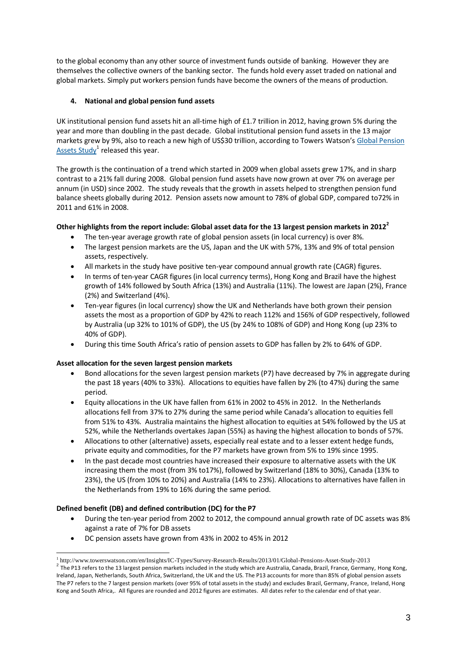to the global economy than any other source of investment funds outside of banking. However they are themselves the collective owners of the banking sector. The funds hold every asset traded on national and global markets. Simply put workers pension funds have become the owners of the means of production.

# <span id="page-2-0"></span>**4. National and global pension fund assets**

UK institutional pension fund assets hit an all-time high of £1.7 trillion in 2012, having grown 5% during the year and more than doubling in the past decade. Global institutional pension fund assets in the 13 major markets grew by 9%, also to reach a new high of US\$30 trillion, according to Towers Watson's [Global Pension](http://www.towerswatson.com/research/8991)  [Assets Study](http://www.towerswatson.com/research/8991)<sup>1</sup> released this year.

The growth is the continuation of a trend which started in 2009 when global assets grew 17%, and in sharp contrast to a 21% fall during 2008. Global pension fund assets have now grown at over 7% on average per annum (in USD) since 2002. The study reveals that the growth in assets helped to strengthen pension fund balance sheets globally during 2012. Pension assets now amount to 78% of global GDP, compared to72% in 2011 and 61% in 2008.

## **Other highlights from the report include: Global asset data for the 13 largest pension markets in 2012<sup>2</sup>**

- The ten-year average growth rate of global pension assets (in local currency) is over 8%.
- The largest pension markets are the US, Japan and the UK with 57%, 13% and 9% of total pension assets, respectively.
- All markets in the study have positive ten-year compound annual growth rate (CAGR) figures.
- In terms of ten-year CAGR figures (in local currency terms), Hong Kong and Brazil have the highest growth of 14% followed by South Africa (13%) and Australia (11%). The lowest are Japan (2%), France (2%) and Switzerland (4%).
- Ten-year figures (in local currency) show the UK and Netherlands have both grown their pension assets the most as a proportion of GDP by 42% to reach 112% and 156% of GDP respectively, followed by Australia (up 32% to 101% of GDP), the US (by 24% to 108% of GDP) and Hong Kong (up 23% to 40% of GDP).
- During this time South Africa's ratio of pension assets to GDP has fallen by 2% to 64% of GDP.

#### **Asset allocation for the seven largest pension markets**

- Bond allocations for the seven largest pension markets (P7) have decreased by 7% in aggregate during the past 18 years (40% to 33%). Allocations to equities have fallen by 2% (to 47%) during the same period.
- Equity allocations in the UK have fallen from 61% in 2002 to 45% in 2012. In the Netherlands allocations fell from 37% to 27% during the same period while Canada's allocation to equities fell from 51% to 43%. Australia maintains the highest allocation to equities at 54% followed by the US at 52%, while the Netherlands overtakes Japan (55%) as having the highest allocation to bonds of 57%.
- Allocations to other (alternative) assets, especially real estate and to a lesser extent hedge funds, private equity and commodities, for the P7 markets have grown from 5% to 19% since 1995.
- In the past decade most countries have increased their exposure to alternative assets with the UK increasing them the most (from 3% to17%), followed by Switzerland (18% to 30%), Canada (13% to 23%), the US (from 10% to 20%) and Australia (14% to 23%). Allocations to alternatives have fallen in the Netherlands from 19% to 16% during the same period.

#### **Defined benefit (DB) and defined contribution (DC) for the P7**

- During the ten-year period from 2002 to 2012, the compound annual growth rate of DC assets was 8% against a rate of 7% for DB assets
- DC pension assets have grown from 43% in 2002 to 45% in 2012

<sup>-</sup>1 http://www.towerswatson.com/en/Insights/IC-Types/Survey-Research-Results/2013/01/Global-Pensions-Asset-Study-2013

 $^2$  The P13 refers to the 13 largest pension markets included in the study which are Australia, Canada, Brazil, France, Germany, Hong Kong, Ireland, Japan, Netherlands, South Africa, Switzerland, the UK and the US. The P13 accounts for more than 85% of global pension assets The P7 refers to the 7 largest pension markets (over 95% of total assets in the study) and excludes Brazil, Germany, France, Ireland, Hong Kong and South Africa,. All figures are rounded and 2012 figures are estimates. All dates refer to the calendar end of that year.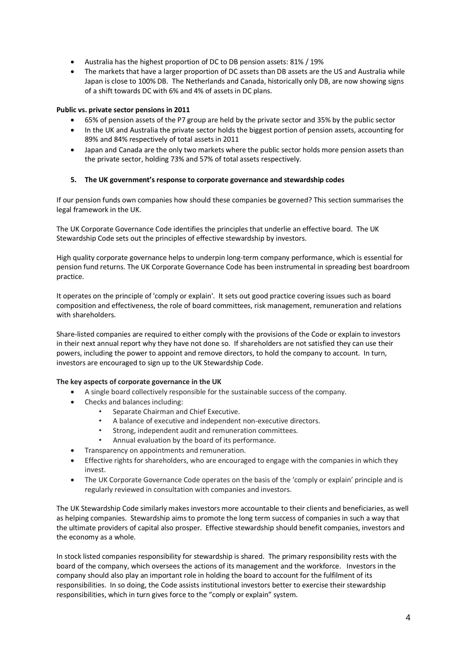- Australia has the highest proportion of DC to DB pension assets: 81% / 19%
- The markets that have a larger proportion of DC assets than DB assets are the US and Australia while Japan is close to 100% DB. The Netherlands and Canada, historically only DB, are now showing signs of a shift towards DC with 6% and 4% of assets in DC plans.

### **Public vs. private sector pensions in 2011**

- 65% of pension assets of the P7 group are held by the private sector and 35% by the public sector
- In the UK and Australia the private sector holds the biggest portion of pension assets, accounting for 89% and 84% respectively of total assets in 2011
- Japan and Canada are the only two markets where the public sector holds more pension assets than the private sector, holding 73% and 57% of total assets respectively.

#### <span id="page-3-0"></span>**5. The UK government's response to corporate governance and stewardship codes**

If our pension funds own companies how should these companies be governed? This section summarises the legal framework in the UK.

The UK Corporate Governance Code identifies the principles that underlie an effective board. The UK Stewardship Code sets out the principles of effective stewardship by investors.

High quality corporate governance helps to underpin long-term company performance, which is essential for pension fund returns. [The UK Corporate Governance Code](http://www.frc.org.uk/Our-Work/Publications/Corporate-Governance/UK-Corporate-Governance-Code-September-2012.aspx) has been instrumental in spreading best boardroom practice.

It operates on the principle of 'comply or explain'. It sets out good practice covering issues such as board composition and effectiveness, the role of board committees, risk management, remuneration and relations with shareholders.

Share-listed companies are required to either comply with the provisions of the Code or explain to investors in their next annual report why they have not done so. If shareholders are not satisfied they can use their powers, including the power to appoint and remove directors, to hold the company to account. In turn, investors are encouraged to sign up to the UK Stewardship Code.

#### **The key aspects of corporate governance in the UK**

- A single board collectively responsible for the sustainable success of the company.
- Checks and balances including:
	- Separate Chairman and Chief Executive.
	- A balance of executive and independent non-executive directors.
	- Strong, independent audit and remuneration committees.
	- Annual evaluation by the board of its performance.
- Transparency on appointments and remuneration.
- Effective rights for shareholders, who are encouraged to engage with the companies in which they invest.
- The UK Corporate Governance Code operates on the basis of the 'comply or explain' principle and is regularly reviewed in consultation with companies and investors.

The UK Stewardship Code similarly makes investors more accountable to their clients and beneficiaries, as well as helping companies. Stewardship aims to promote the long term success of companies in such a way that the ultimate providers of capital also prosper. Effective stewardship should benefit companies, investors and the economy as a whole.

In stock listed companies responsibility for stewardship is shared. The primary responsibility rests with the board of the company, which oversees the actions of its management and the workforce. Investors in the company should also play an important role in holding the board to account for the fulfilment of its responsibilities. In so doing, the Code assists institutional investors better to exercise their stewardship responsibilities, which in turn gives force to the "comply or explain" system.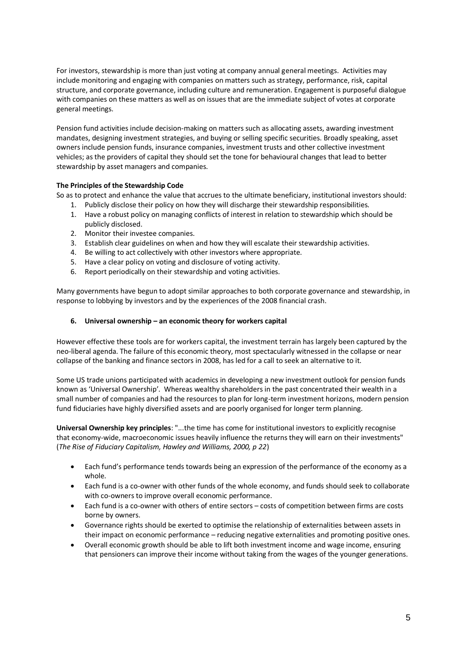For investors, stewardship is more than just voting at company annual general meetings. Activities may include monitoring and engaging with companies on matters such as strategy, performance, risk, capital structure, and corporate governance, including culture and remuneration. Engagement is purposeful dialogue with companies on these matters as well as on issues that are the immediate subject of votes at corporate general meetings.

Pension fund activities include decision-making on matters such as allocating assets, awarding investment mandates, designing investment strategies, and buying or selling specific securities. Broadly speaking, asset owners include pension funds, insurance companies, investment trusts and other collective investment vehicles; as the providers of capital they should set the tone for behavioural changes that lead to better stewardship by asset managers and companies.

## **The Principles of the Stewardship Code**

So as to protect and enhance the value that accrues to the ultimate beneficiary, institutional investors should:

- 1. Publicly disclose their policy on how they will discharge their stewardship responsibilities.
- 1. Have a robust policy on managing conflicts of interest in relation to stewardship which should be publicly disclosed.
- 2. Monitor their investee companies.
- 3. Establish clear guidelines on when and how they will escalate their stewardship activities.
- 4. Be willing to act collectively with other investors where appropriate.
- 5. Have a clear policy on voting and disclosure of voting activity.
- 6. Report periodically on their stewardship and voting activities.

<span id="page-4-0"></span>Many governments have begun to adopt similar approaches to both corporate governance and stewardship, in response to lobbying by investors and by the experiences of the 2008 financial crash.

#### **6. Universal ownership – an economic theory for workers capital**

However effective these tools are for workers capital, the investment terrain has largely been captured by the neo-liberal agenda. The failure of this economic theory, most spectacularly witnessed in the collapse or near collapse of the banking and finance sectors in 2008, has led for a call to seek an alternative to it.

Some US trade unions participated with academics in developing a new investment outlook for pension funds known as 'Universal Ownership'. Whereas wealthy shareholders in the past concentrated their wealth in a small number of companies and had the resources to plan for long-term investment horizons, modern pension fund fiduciaries have highly diversified assets and are poorly organised for longer term planning.

**Universal Ownership key principles**: "...the time has come for institutional investors to explicitly recognise that economy-wide, macroeconomic issues heavily influence the returns they will earn on their investments" (*The Rise of Fiduciary Capitalism, Hawley and Williams, 2000, p 22*)

- Each fund's performance tends towards being an expression of the performance of the economy as a whole.
- Each fund is a co-owner with other funds of the whole economy, and funds should seek to collaborate with co-owners to improve overall economic performance.
- Each fund is a co-owner with others of entire sectors costs of competition between firms are costs borne by owners.
- Governance rights should be exerted to optimise the relationship of externalities between assets in their impact on economic performance – reducing negative externalities and promoting positive ones.
- Overall economic growth should be able to lift both investment income and wage income, ensuring that pensioners can improve their income without taking from the wages of the younger generations.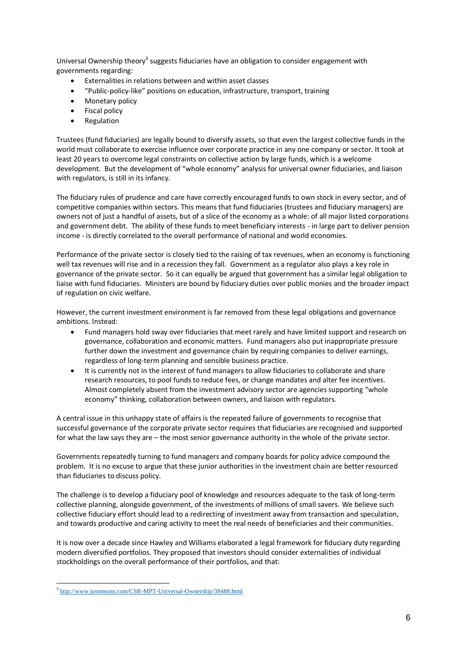Universal Ownership theory<sup>3</sup> suggests fiduciaries have an obligation to consider engagement with governments regarding:

- Externalities in relations between and within asset classes
- "Public-policy-like" positions on education, infrastructure, transport, training
- Monetary policy
- **•** Fiscal policy
- Regulation

Trustees (fund fiduciaries) are legally bound to diversify assets, so that even the largest collective funds in the world must collaborate to exercise influence over corporate practice in any one company or sector. It took at least 20 years to overcome legal constraints on collective action by large funds, which is a welcome development. But the development of "whole economy" analysis for universal owner fiduciaries, and liaison with regulators, is still in its infancy.

The fiduciary rules of prudence and care have correctly encouraged funds to own stock in every sector, and of competitive companies within sectors. This means that fund fiduciaries (trustees and fiduciary managers) are owners not of just a handful of assets, but of a slice of the economy as a whole: of all major listed corporations and government debt. The ability of these funds to meet beneficiary interests - in large part to deliver pension income - is directly correlated to the overall performance of national and world economies.

Performance of the private sector is closely tied to the raising of tax revenues, when an economy is functioning well tax revenues will rise and in a recession they fall. Government as a regulator also plays a key role in governance of the private sector. So it can equally be argued that government has a similar legal obligation to liaise with fund fiduciaries. Ministers are bound by fiduciary duties over public monies and the broader impact of regulation on civic welfare.

However, the current investment environment is far removed from these legal obligations and governance ambitions. Instead:

- Fund managers hold sway over fiduciaries that meet rarely and have limited support and research on governance, collaboration and economic matters. Fund managers also put inappropriate pressure further down the investment and governance chain by requiring companies to deliver earnings, regardless of long-term planning and sensible business practice.
- It is currently not in the interest of fund managers to allow fiduciaries to collaborate and share research resources, to pool funds to reduce fees, or change mandates and alter fee incentives. Almost completely absent from the investment advisory sector are agencies supporting "whole economy" thinking, collaboration between owners, and liaison with regulators.

A central issue in this unhappy state of affairs is the repeated failure of governments to recognise that successful governance of the corporate private sector requires that fiduciaries are recognised and supported for what the law says they are – the most senior governance authority in the whole of the private sector.

Governments repeatedly turning to fund managers and company boards for policy advice compound the problem. It is no excuse to argue that these junior authorities in the investment chain are better resourced than fiduciaries to discuss policy.

The challenge is to develop a fiduciary pool of knowledge and resources adequate to the task of long-term collective planning, alongside government, of the investments of millions of small savers. We believe such collective fiduciary effort should lead to a redirecting of investment away from transaction and speculation, and towards productive and caring activity to meet the real needs of beneficiaries and their communities.

It is now over a decade since Hawley and Williams elaborated a legal framework for fiduciary duty regarding modern diversified portfolios. They proposed that investors should consider externalities of individual stockholdings on the overall performance of their portfolios, and that:

<sup>3</sup> <http://www.justmeans.com/CSR-MPT-Universal-Ownership/38488.html>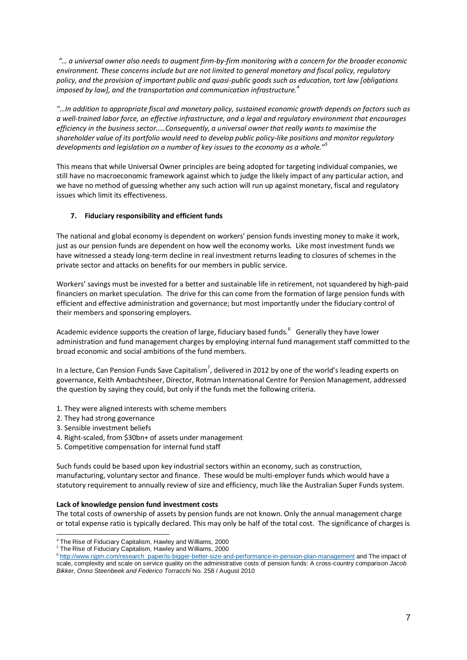*"… a universal owner also needs to augment firm-by-firm monitoring with a concern for the broader economic environment. These concerns include but are not limited to general monetary and fiscal policy, regulatory policy, and the provision of important public and quasi-public goods such as education, tort law [obligations imposed by law], and the transportation and communication infrastructure.<sup>4</sup>*

*"…In addition to appropriate fiscal and monetary policy, sustained economic growth depends on factors such as a well-trained labor force, an effective infrastructure, and a legal and regulatory environment that encourages efficiency in the business sector…..Consequently, a universal owner that really wants to maximise the shareholder value of its portfolio would need to develop public policy-like positions and monitor regulatory developments and legislation on a number of key issues to the economy as a whole."<sup>5</sup>*

This means that while Universal Owner principles are being adopted for targeting individual companies, we still have no macroeconomic framework against which to judge the likely impact of any particular action, and we have no method of guessing whether any such action will run up against monetary, fiscal and regulatory issues which limit its effectiveness.

## <span id="page-6-0"></span>**7. Fiduciary responsibility and efficient funds**

The national and global economy is dependent on workers' pension funds investing money to make it work, just as our pension funds are dependent on how well the economy works. Like most investment funds we have witnessed a steady long-term decline in real investment returns leading to closures of schemes in the private sector and attacks on benefits for our members in public service.

Workers' savings must be invested for a better and sustainable life in retirement, not squandered by high-paid financiers on market speculation. The drive for this can come from the formation of large pension funds with efficient and effective administration and governance; but most importantly under the fiduciary control of their members and sponsoring employers.

Academic evidence supports the creation of large, fiduciary based funds. $^6$  Generally they have lower administration and fund management charges by employing internal fund management staff committed to the broad economic and social ambitions of the fund members.

In a lecture, Can Pension Funds Save Capitalism<sup>7</sup>, delivered in 2012 by one of the world's leading experts on governance, Keith Ambachtsheer, Director, Rotman International Centre for Pension Management, addressed the question by saying they could, but only if the funds met the following criteria.

- 1. They were aligned interests with scheme members
- 2. They had strong governance
- 3. Sensible investment beliefs

-

- 4. Right-scaled, from \$30bn+ of assets under management
- 5. Competitive compensation for internal fund staff

Such funds could be based upon key industrial sectors within an economy, such as construction, manufacturing, voluntary sector and finance. These would be multi-employer funds which would have a statutory requirement to annually review of size and efficiency, much like the Australian Super Funds system.

#### **Lack of knowledge pension fund investment costs**

The total costs of ownership of assets by pension funds are not known. Only the annual management charge or total expense ratio is typically declared. This may only be half of the total cost. The significance of charges is

 $4$  The Rise of Fiduciary Capitalism, Hawley and Williams, 2000

 $5$  The Rise of Fiduciary Capitalism, Hawley and Williams, 2000

<sup>&</sup>lt;sup>6</sup> [http://www.rijpm.com/research\\_paper/is-bigger-better-size-and-performance-in-pension-plan-management](http://www.rijpm.com/research_paper/is-bigger-better-size-and-performance-in-pension-plan-management) and The impact of scale, complexity and scale on service quality on the administrative costs of pension funds: A cross-country comparison *Jacob Bikker, Onno Steenbeek and Federico Torracchi* No. 258 / August 2010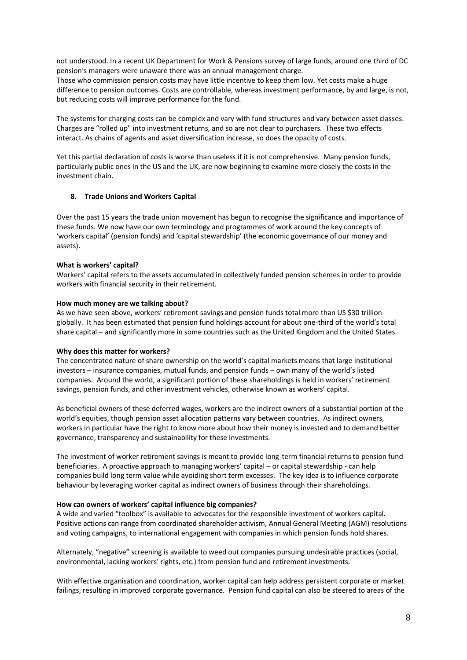not understood. In a recent UK Department for Work & Pensions survey of large funds, around one third of DC pension's managers were unaware there was an annual management charge.

Those who commission pension costs may have little incentive to keep them low. Yet costs make a huge difference to pension outcomes. Costs are controllable, whereas investment performance, by and large, is not, but reducing costs will improve performance for the fund.

The systems for charging costs can be complex and vary with fund structures and vary between asset classes. Charges are "rolled up" into investment returns, and so are not clear to purchasers. These two effects interact. As chains of agents and asset diversification increase, so does the opacity of costs.

Yet this partial declaration of costs is worse than useless if it is not comprehensive. Many pension funds, particularly public ones in the US and the UK, are now beginning to examine more closely the costs in the investment chain.

#### <span id="page-7-0"></span>**8. Trade Unions and Workers Capital**

Over the past 15 years the trade union movement has begun to recognise the significance and importance of these funds. We now have our own terminology and programmes of work around the key concepts of 'workers capital' (pension funds) and 'capital stewardship' (the economic governance of our money and assets).

#### **What is workers' capital?**

Workers' capital refers to the assets accumulated in collectively funded pension schemes in order to provide workers with financial security in their retirement.

#### **How much money are we talking about?**

As we have seen above, workers' retirement savings and pension funds total more than US \$30 trillion globally. It has been estimated that pension fund holdings account for about one-third of the world's total share capital – and significantly more in some countries such as the United Kingdom and the United States.

#### **Why does this matter for workers?**

The concentrated nature of share ownership on the world's capital markets means that large institutional investors – insurance companies, mutual funds, and pension funds – own many of the world's listed companies. Around the world, a significant portion of these shareholdings is held in workers' retirement savings, pension funds, and other investment vehicles, otherwise known as workers' capital.

As beneficial owners of these deferred wages, workers are the indirect owners of a substantial portion of the world's equities, though pension asset allocation patterns vary between countries. As indirect owners, workers in particular have the right to know more about how their money is invested and to demand better governance, transparency and sustainability for these investments.

The investment of worker retirement savings is meant to provide long-term financial returns to pension fund beneficiaries. A proactive approach to managing workers' capital – or capital stewardship - can help companies build long term value while avoiding short term excesses. The key idea is to influence corporate behaviour by leveraging worker capital as indirect owners of business through their shareholdings.

#### **How can owners of workers' capital influence big companies?**

A wide and varied "toolbox" is available to advocates for the responsible investment of workers capital. Positive actions can range from coordinated shareholder activism, Annual General Meeting (AGM) resolutions and voting campaigns, to international engagement with companies in which pension funds hold shares.

Alternately, "negative" screening is available to weed out companies pursuing undesirable practices (social, environmental, lacking workers' rights, etc.) from pension fund and retirement investments.

With effective organisation and coordination, worker capital can help address persistent corporate or market failings, resulting in improved corporate governance. Pension fund capital can also be steered to areas of the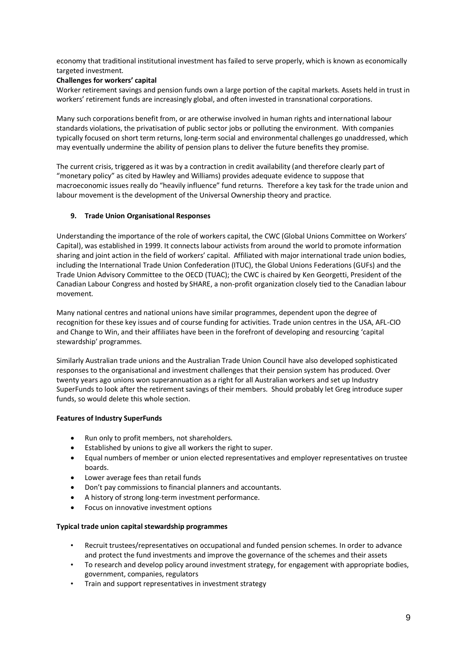economy that traditional institutional investment has failed to serve properly, which is known as economically targeted investment.

# **Challenges for workers' capital**

Worker retirement savings and pension funds own a large portion of the capital markets. Assets held in trust in workers' retirement funds are increasingly global, and often invested in transnational corporations.

Many such corporations benefit from, or are otherwise involved in human rights and international labour standards violations, the privatisation of public sector jobs or polluting the environment. With companies typically focused on short term returns, long-term social and environmental challenges go unaddressed, which may eventually undermine the ability of pension plans to deliver the future benefits they promise.

The current crisis, triggered as it was by a contraction in credit availability (and therefore clearly part of "monetary policy" as cited by Hawley and Williams) provides adequate evidence to suppose that macroeconomic issues really do "heavily influence" fund returns. Therefore a key task for the trade union and labour movement is the development of the Universal Ownership theory and practice.

## <span id="page-8-0"></span>**9. Trade Union Organisational Responses**

Understanding the importance of the role of workers capital, the CWC (Global Unions Committee on Workers' Capital), was established in 1999. It connects labour activists from around the world to promote information sharing and joint action in the field of workers' capital. Affiliated with major international trade union bodies, including the International Trade Union Confederation (ITUC), the Global Unions Federations (GUFs) and the Trade Union Advisory Committee to the OECD (TUAC); the CWC is chaired by Ken Georgetti, President of the Canadian Labour Congress and hosted by SHARE, a non-profit organization closely tied to the Canadian labour movement.

Many national centres and national unions have similar programmes, dependent upon the degree of recognition for these key issues and of course funding for activities. Trade union centres in the USA, AFL-CIO and Change to Win, and their affiliates have been in the forefront of developing and resourcing 'capital stewardship' programmes.

Similarly Australian trade unions and the Australian Trade Union Council have also developed sophisticated responses to the organisational and investment challenges that their pension system has produced. Over twenty years ago unions won superannuation as a right for all Australian workers and set up Industry SuperFunds to look after the retirement savings of their members. Should probably let Greg introduce super funds, so would delete this whole section.

#### **Features of Industry SuperFunds**

- Run only to profit members, not shareholders.
- Established by unions to give all workers the right to super.
- Equal numbers of member or union elected representatives and employer representatives on trustee boards.
- Lower average fees than retail funds
- Don't pay commissions to financial planners and accountants.
- A history of strong long-term investment performance.
- Focus on innovative investment options

# **Typical trade union capital stewardship programmes**

- Recruit trustees/representatives on occupational and funded pension schemes. In order to advance and protect the fund investments and improve the governance of the schemes and their assets
- To research and develop policy around investment strategy, for engagement with appropriate bodies, government, companies, regulators
- Train and support representatives in investment strategy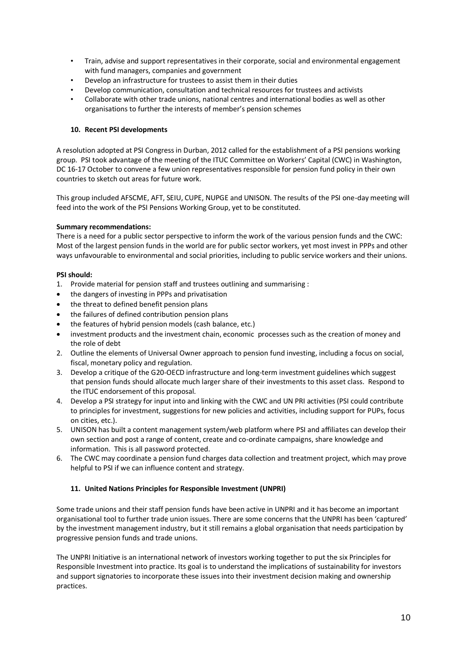- Train, advise and support representatives in their corporate, social and environmental engagement with fund managers, companies and government
- Develop an infrastructure for trustees to assist them in their duties
- Develop communication, consultation and technical resources for trustees and activists
- Collaborate with other trade unions, national centres and international bodies as well as other organisations to further the interests of member's pension schemes

## <span id="page-9-0"></span>**10. Recent PSI developments**

A resolution adopted at PSI Congress in Durban, 2012 called for the establishment of a PSI pensions working group. PSI took advantage of the meeting of the ITUC Committee on Workers' Capital (CWC) in Washington, DC 16-17 October to convene a few union representatives responsible for pension fund policy in their own countries to sketch out areas for future work.

This group included AFSCME, AFT, SEIU, CUPE, NUPGE and UNISON. The results of the PSI one-day meeting will feed into the work of the PSI Pensions Working Group, yet to be constituted.

## **Summary recommendations:**

There is a need for a public sector perspective to inform the work of the various pension funds and the CWC: Most of the largest pension funds in the world are for public sector workers, yet most invest in PPPs and other ways unfavourable to environmental and social priorities, including to public service workers and their unions.

## **PSI should:**

- 1. Provide material for pension staff and trustees outlining and summarising :
- the dangers of investing in PPPs and privatisation
- the threat to defined benefit pension plans
- the failures of defined contribution pension plans
- the features of hybrid pension models (cash balance, etc.)
- investment products and the investment chain, economic processes such as the creation of money and the role of debt
- 2. Outline the elements of Universal Owner approach to pension fund investing, including a focus on social, fiscal, monetary policy and regulation.
- 3. Develop a critique of the G20-OECD infrastructure and long-term investment guidelines which suggest that pension funds should allocate much larger share of their investments to this asset class. Respond to the ITUC endorsement of this proposal.
- 4. Develop a PSI strategy for input into and linking with the CWC and UN PRI activities (PSI could contribute to principles for investment, suggestions for new policies and activities, including support for PUPs, focus on cities, etc.).
- 5. UNISON has built a content management system/web platform where PSI and affiliates can develop their own section and post a range of content, create and co-ordinate campaigns, share knowledge and information. This is all password protected.
- <span id="page-9-1"></span>6. The CWC may coordinate a pension fund charges data collection and treatment project, which may prove helpful to PSI if we can influence content and strategy.

#### **11. United Nations Principles for Responsible Investment (UNPRI)**

Some trade unions and their staff pension funds have been active in UNPRI and it has become an important organisational tool to further trade union issues. There are some concerns that the UNPRI has been 'captured' by the investment management industry, but it still remains a global organisation that needs participation by progressive pension funds and trade unions.

The UNPRI Initiative is an international network of investors working together to put the six Principles for Responsible Investment into practice. Its goal is to understand the implications of sustainability for investors and support signatories to incorporate these issues into their investment decision making and ownership practices.